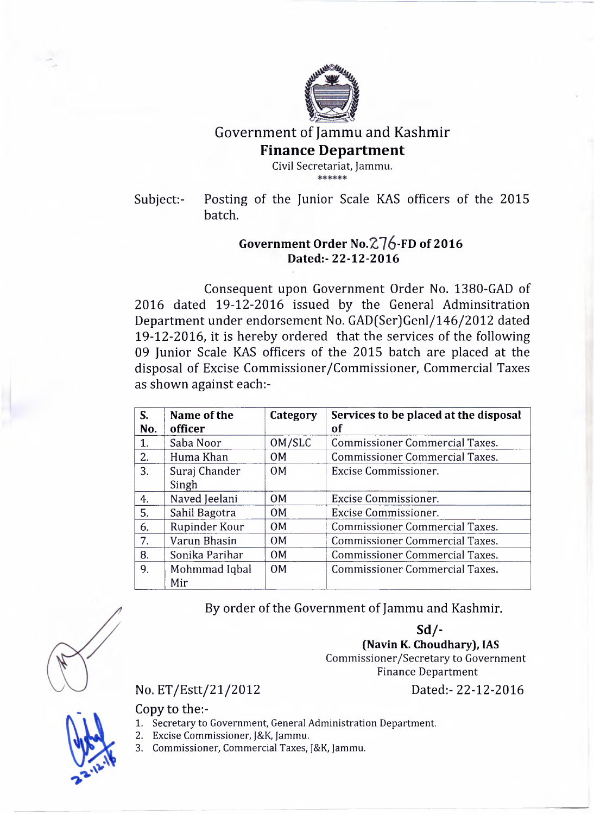

Government of Jammu and Kashmir

## **Finance Department**

Civil Secretariat, Jammu.

Subject:- Posting of the Junior Scale KAS officers of the 2015 batch.

## Government Order No.  $276$ -FD of 2016 **Dated:-22-12-2016**

Consequent upon Government Order No. 1380-GAD of 2016 dated 19-12-2016 issued by the General Adminsitration Department under endorsement No. GAD(Ser)Genl/146/2012 dated 19-12-2016, it is hereby ordered that the services of the following 09 Junior Scale KAS officers of the 2015 batch are placed at the disposal of Excise Commissioner/Commissioner, Commercial Taxes as shown against each:-

| S.  | Name of the    | Category       | Services to be placed at the disposal |
|-----|----------------|----------------|---------------------------------------|
| No. | officer        |                | of                                    |
| 1.  | Saba Noor      | OM/SLC         | <b>Commissioner Commercial Taxes.</b> |
| 2.  | Huma Khan      | OM             | <b>Commissioner Commercial Taxes.</b> |
| 3.  | Suraj Chander  | 0 <sub>M</sub> | Excise Commissioner.                  |
|     | Singh          |                |                                       |
| 4.  | Naved Jeelani  | OM             | Excise Commissioner.                  |
| 5.  | Sahil Bagotra  | 0M             | Excise Commissioner.                  |
| 6.  | Rupinder Kour  | 0 <sub>M</sub> | <b>Commissioner Commercial Taxes.</b> |
| 7.  | Varun Bhasin   | 0 <sub>M</sub> | <b>Commissioner Commercial Taxes.</b> |
| 8.  | Sonika Parihar | 0 <sub>M</sub> | <b>Commissioner Commercial Taxes.</b> |
| 9.  | Mohmmad Iqbal  | OM             | <b>Commissioner Commercial Taxes.</b> |
|     | Mir            |                |                                       |

By order of the Government of Jammu and Kashmir.

**Sd/- (Navin K. Choudhary), IAS** Commissioner/Secretary to Government Finance Department

## No. ET/Estt/21/2012 Dated:- 22-12-2016

Copy to the:-

- 1. Secretary to Government, General Administration Department.
- 2. Excise Commissioner, J&K, Jammu.
- 3. Commissioner, Commercial Taxes, J&K, Jammu.